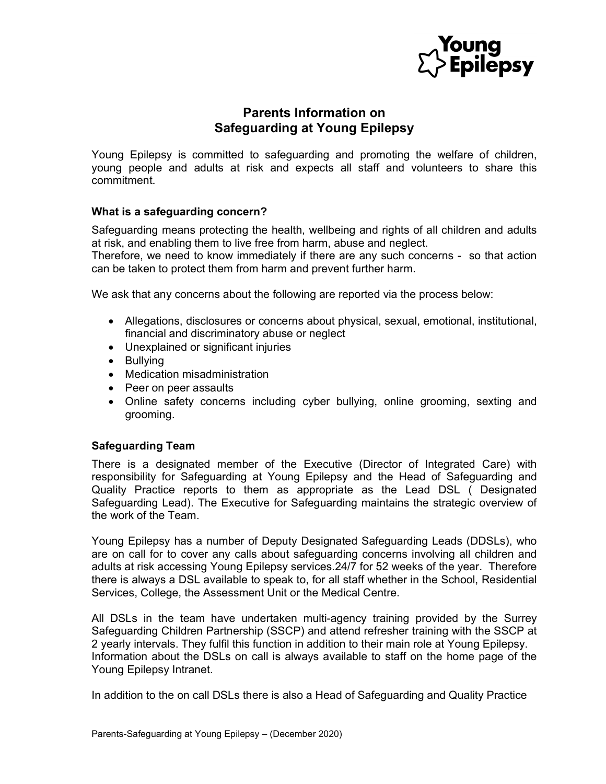

# Parents Information on Safeguarding at Young Epilepsy

Young Epilepsy is committed to safeguarding and promoting the welfare of children, young people and adults at risk and expects all staff and volunteers to share this commitment.

# What is a safeguarding concern?

Safeguarding means protecting the health, wellbeing and rights of all children and adults at risk, and enabling them to live free from harm, abuse and neglect.

Therefore, we need to know immediately if there are any such concerns - so that action can be taken to protect them from harm and prevent further harm.

We ask that any concerns about the following are reported via the process below:

- Allegations, disclosures or concerns about physical, sexual, emotional, institutional, financial and discriminatory abuse or neglect
- Unexplained or significant injuries
- Bullying
- Medication misadministration
- Peer on peer assaults
- Online safety concerns including cyber bullying, online grooming, sexting and grooming.

### Safeguarding Team

There is a designated member of the Executive (Director of Integrated Care) with responsibility for Safeguarding at Young Epilepsy and the Head of Safeguarding and Quality Practice reports to them as appropriate as the Lead DSL ( Designated Safeguarding Lead). The Executive for Safeguarding maintains the strategic overview of the work of the Team.

Young Epilepsy has a number of Deputy Designated Safeguarding Leads (DDSLs), who are on call for to cover any calls about safeguarding concerns involving all children and adults at risk accessing Young Epilepsy services.24/7 for 52 weeks of the year. Therefore there is always a DSL available to speak to, for all staff whether in the School, Residential Services, College, the Assessment Unit or the Medical Centre.

All DSLs in the team have undertaken multi-agency training provided by the Surrey Safeguarding Children Partnership (SSCP) and attend refresher training with the SSCP at 2 yearly intervals. They fulfil this function in addition to their main role at Young Epilepsy. Information about the DSLs on call is always available to staff on the home page of the Young Epilepsy Intranet.

In addition to the on call DSLs there is also a Head of Safeguarding and Quality Practice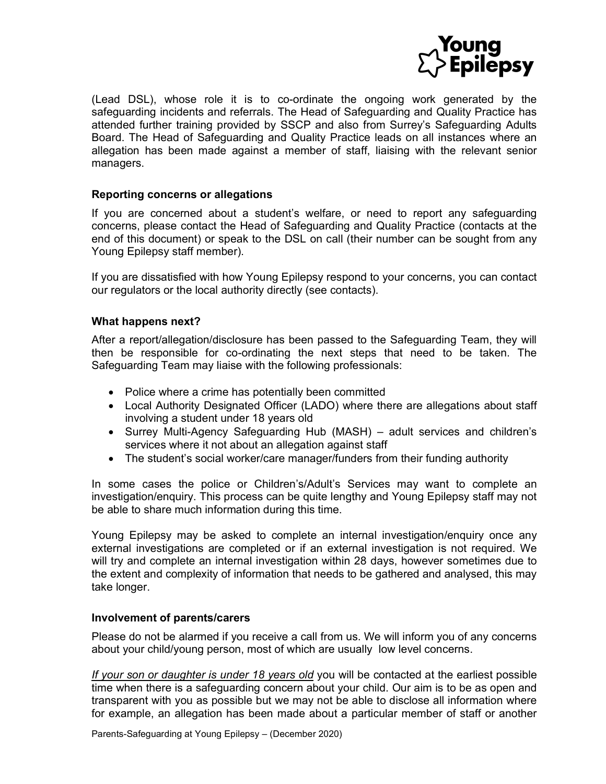

(Lead DSL), whose role it is to co-ordinate the ongoing work generated by the safeguarding incidents and referrals. The Head of Safeguarding and Quality Practice has attended further training provided by SSCP and also from Surrey's Safeguarding Adults Board. The Head of Safeguarding and Quality Practice leads on all instances where an allegation has been made against a member of staff, liaising with the relevant senior managers.

## Reporting concerns or allegations

If you are concerned about a student's welfare, or need to report any safeguarding concerns, please contact the Head of Safeguarding and Quality Practice (contacts at the end of this document) or speak to the DSL on call (their number can be sought from any Young Epilepsy staff member).

If you are dissatisfied with how Young Epilepsy respond to your concerns, you can contact our regulators or the local authority directly (see contacts).

## What happens next?

After a report/allegation/disclosure has been passed to the Safeguarding Team, they will then be responsible for co-ordinating the next steps that need to be taken. The Safeguarding Team may liaise with the following professionals:

- Police where a crime has potentially been committed
- Local Authority Designated Officer (LADO) where there are allegations about staff involving a student under 18 years old
- Surrey Multi-Agency Safeguarding Hub (MASH) adult services and children's services where it not about an allegation against staff
- The student's social worker/care manager/funders from their funding authority

In some cases the police or Children's/Adult's Services may want to complete an investigation/enquiry. This process can be quite lengthy and Young Epilepsy staff may not be able to share much information during this time.

Young Epilepsy may be asked to complete an internal investigation/enquiry once any external investigations are completed or if an external investigation is not required. We will try and complete an internal investigation within 28 days, however sometimes due to the extent and complexity of information that needs to be gathered and analysed, this may take longer.

### Involvement of parents/carers

Please do not be alarmed if you receive a call from us. We will inform you of any concerns about your child/young person, most of which are usually low level concerns.

If your son or daughter is under 18 years old you will be contacted at the earliest possible time when there is a safeguarding concern about your child. Our aim is to be as open and transparent with you as possible but we may not be able to disclose all information where for example, an allegation has been made about a particular member of staff or another

Parents-Safeguarding at Young Epilepsy – (December 2020)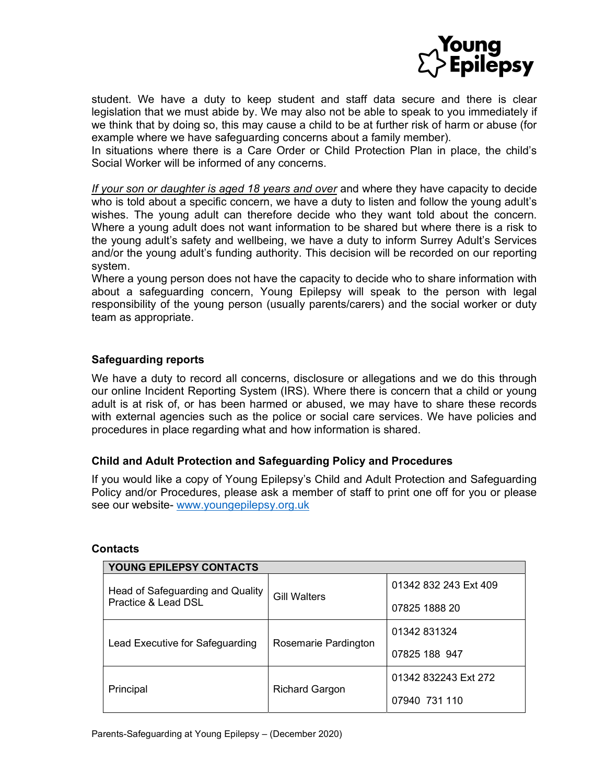

student. We have a duty to keep student and staff data secure and there is clear legislation that we must abide by. We may also not be able to speak to you immediately if we think that by doing so, this may cause a child to be at further risk of harm or abuse (for example where we have safeguarding concerns about a family member).

In situations where there is a Care Order or Child Protection Plan in place, the child's Social Worker will be informed of any concerns.

If your son or daughter is aged 18 years and over and where they have capacity to decide who is told about a specific concern, we have a duty to listen and follow the young adult's wishes. The young adult can therefore decide who they want told about the concern. Where a young adult does not want information to be shared but where there is a risk to the young adult's safety and wellbeing, we have a duty to inform Surrey Adult's Services and/or the young adult's funding authority. This decision will be recorded on our reporting system.

Where a young person does not have the capacity to decide who to share information with about a safeguarding concern, Young Epilepsy will speak to the person with legal responsibility of the young person (usually parents/carers) and the social worker or duty team as appropriate.

# Safeguarding reports

We have a duty to record all concerns, disclosure or allegations and we do this through our online Incident Reporting System (IRS). Where there is concern that a child or young adult is at risk of, or has been harmed or abused, we may have to share these records with external agencies such as the police or social care services. We have policies and procedures in place regarding what and how information is shared.

# Child and Adult Protection and Safeguarding Policy and Procedures

If you would like a copy of Young Epilepsy's Child and Adult Protection and Safeguarding Policy and/or Procedures, please ask a member of staff to print one off for you or please see our website- www.youngepilepsy.org.uk

| YOUNG EPILEPSY CONTACTS                                 |                       |                       |  |
|---------------------------------------------------------|-----------------------|-----------------------|--|
| Head of Safeguarding and Quality<br>Practice & Lead DSL | <b>Gill Walters</b>   | 01342 832 243 Ext 409 |  |
|                                                         |                       | 07825 1888 20         |  |
| Lead Executive for Safeguarding                         | Rosemarie Pardington  | 01342 831324          |  |
|                                                         |                       | 07825 188 947         |  |
| Principal                                               | <b>Richard Gargon</b> | 01342 832243 Ext 272  |  |
|                                                         |                       | 07940 731 110         |  |

### **Contacts**